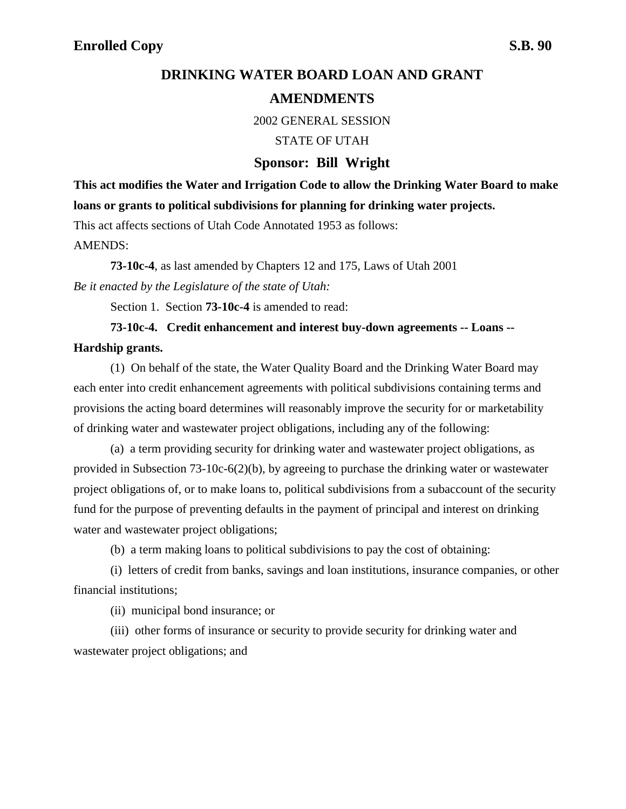# **DRINKING WATER BOARD LOAN AND GRANT**

## **AMENDMENTS**

2002 GENERAL SESSION

STATE OF UTAH

### **Sponsor: Bill Wright**

**This act modifies the Water and Irrigation Code to allow the Drinking Water Board to make loans or grants to political subdivisions for planning for drinking water projects.**

This act affects sections of Utah Code Annotated 1953 as follows:

AMENDS:

**73-10c-4**, as last amended by Chapters 12 and 175, Laws of Utah 2001 *Be it enacted by the Legislature of the state of Utah:*

Section 1. Section **73-10c-4** is amended to read:

# **73-10c-4. Credit enhancement and interest buy-down agreements -- Loans --**

#### **Hardship grants.**

(1) On behalf of the state, the Water Quality Board and the Drinking Water Board may each enter into credit enhancement agreements with political subdivisions containing terms and provisions the acting board determines will reasonably improve the security for or marketability of drinking water and wastewater project obligations, including any of the following:

(a) a term providing security for drinking water and wastewater project obligations, as provided in Subsection 73-10c-6(2)(b), by agreeing to purchase the drinking water or wastewater project obligations of, or to make loans to, political subdivisions from a subaccount of the security fund for the purpose of preventing defaults in the payment of principal and interest on drinking water and wastewater project obligations;

(b) a term making loans to political subdivisions to pay the cost of obtaining:

(i) letters of credit from banks, savings and loan institutions, insurance companies, or other financial institutions;

(ii) municipal bond insurance; or

(iii) other forms of insurance or security to provide security for drinking water and wastewater project obligations; and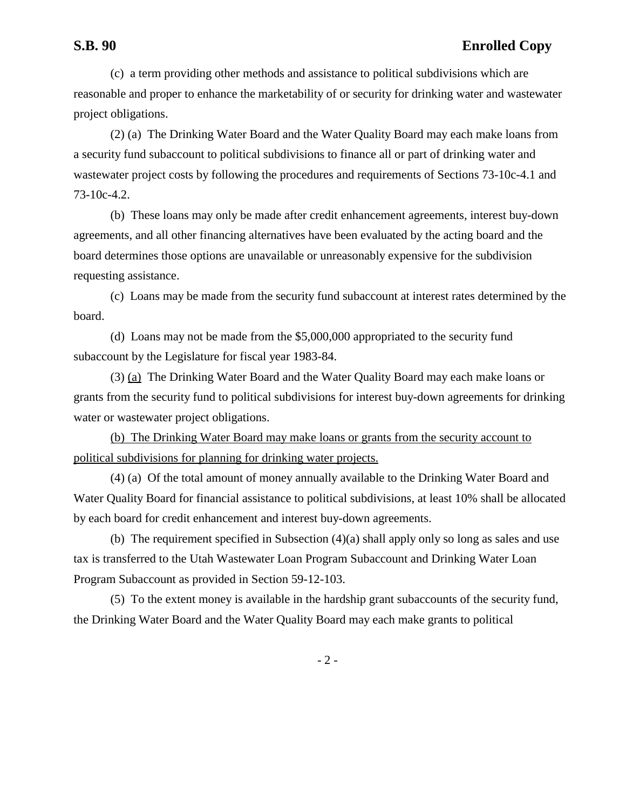## **S.B. 90 Enrolled Copy**

(c) a term providing other methods and assistance to political subdivisions which are reasonable and proper to enhance the marketability of or security for drinking water and wastewater project obligations.

(2) (a) The Drinking Water Board and the Water Quality Board may each make loans from a security fund subaccount to political subdivisions to finance all or part of drinking water and wastewater project costs by following the procedures and requirements of Sections 73-10c-4.1 and 73-10c-4.2.

(b) These loans may only be made after credit enhancement agreements, interest buy-down agreements, and all other financing alternatives have been evaluated by the acting board and the board determines those options are unavailable or unreasonably expensive for the subdivision requesting assistance.

(c) Loans may be made from the security fund subaccount at interest rates determined by the board.

(d) Loans may not be made from the \$5,000,000 appropriated to the security fund subaccount by the Legislature for fiscal year 1983-84.

(3) (a) The Drinking Water Board and the Water Quality Board may each make loans or grants from the security fund to political subdivisions for interest buy-down agreements for drinking water or wastewater project obligations.

(b) The Drinking Water Board may make loans or grants from the security account to political subdivisions for planning for drinking water projects.

(4) (a) Of the total amount of money annually available to the Drinking Water Board and Water Quality Board for financial assistance to political subdivisions, at least 10% shall be allocated by each board for credit enhancement and interest buy-down agreements.

(b) The requirement specified in Subsection (4)(a) shall apply only so long as sales and use tax is transferred to the Utah Wastewater Loan Program Subaccount and Drinking Water Loan Program Subaccount as provided in Section 59-12-103.

(5) To the extent money is available in the hardship grant subaccounts of the security fund, the Drinking Water Board and the Water Quality Board may each make grants to political

- 2 -